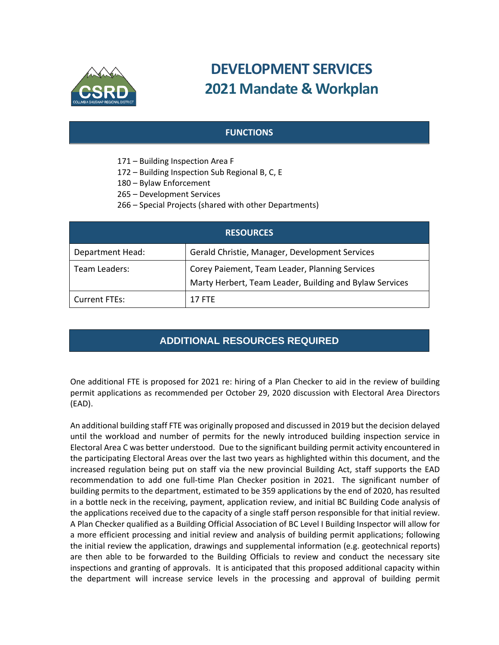

# **DEVELOPMENT SERVICES 2021 Mandate & Workplan**

### **FUNCTIONS**

- 171 Building Inspection Area F
- 172 Building Inspection Sub Regional B, C, E
- 180 Bylaw Enforcement
- 265 Development Services
- 266 Special Projects (shared with other Departments)

| <b>RESOURCES</b> |                                                                                                           |
|------------------|-----------------------------------------------------------------------------------------------------------|
| Department Head: | Gerald Christie, Manager, Development Services                                                            |
| Team Leaders:    | Corey Paiement, Team Leader, Planning Services<br>Marty Herbert, Team Leader, Building and Bylaw Services |
| Current FTEs:    | <b>17 FTF</b>                                                                                             |

## **ADDITIONAL RESOURCES REQUIRED**

One additional FTE is proposed for 2021 re: hiring of a Plan Checker to aid in the review of building permit applications as recommended per October 29, 2020 discussion with Electoral Area Directors (EAD).

An additional building staff FTE was originally proposed and discussed in 2019 but the decision delayed until the workload and number of permits for the newly introduced building inspection service in Electoral Area C was better understood. Due to the significant building permit activity encountered in the participating Electoral Areas over the last two years as highlighted within this document, and the increased regulation being put on staff via the new provincial Building Act, staff supports the EAD recommendation to add one full-time Plan Checker position in 2021. The significant number of building permits to the department, estimated to be 359 applications by the end of 2020, has resulted in a bottle neck in the receiving, payment, application review, and initial BC Building Code analysis of the applications received due to the capacity of a single staff person responsible for that initial review. A Plan Checker qualified as a Building Official Association of BC Level I Building Inspector will allow for a more efficient processing and initial review and analysis of building permit applications; following the initial review the application, drawings and supplemental information (e.g. geotechnical reports) are then able to be forwarded to the Building Officials to review and conduct the necessary site inspections and granting of approvals. It is anticipated that this proposed additional capacity within the department will increase service levels in the processing and approval of building permit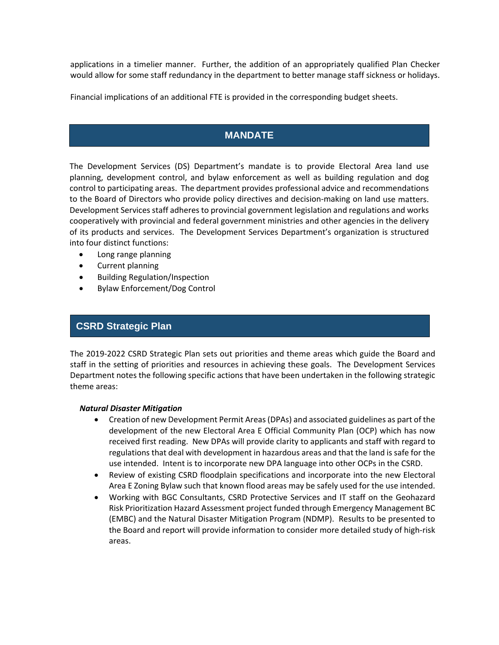applications in a timelier manner. Further, the addition of an appropriately qualified Plan Checker would allow for some staff redundancy in the department to better manage staff sickness or holidays.

Financial implications of an additional FTE is provided in the corresponding budget sheets.

## **MANDATE**

The Development Services (DS) Department's mandate is to provide Electoral Area land use planning, development control, and bylaw enforcement as well as building regulation and dog control to participating areas. The department provides professional advice and recommendations to the Board of Directors who provide policy directives and decision-making on land use matters. Development Services staff adheres to provincial government legislation and regulations and works cooperatively with provincial and federal government ministries and other agencies in the delivery of its products and services. The Development Services Department's organization is structured into four distinct functions:

- Long range planning
- Current planning
- Building Regulation/Inspection
- Bylaw Enforcement/Dog Control

## **CSRD Strategic Plan**

The 2019‐2022 CSRD Strategic Plan sets out priorities and theme areas which guide the Board and staff in the setting of priorities and resources in achieving these goals. The Development Services Department notes the following specific actions that have been undertaken in the following strategic theme areas:

#### *Natural Disaster Mitigation*

- Creation of new Development Permit Areas(DPAs) and associated guidelines as part of the development of the new Electoral Area E Official Community Plan (OCP) which has now received first reading. New DPAs will provide clarity to applicants and staff with regard to regulations that deal with development in hazardous areas and that the land is safe for the use intended. Intent is to incorporate new DPA language into other OCPs in the CSRD.
- Review of existing CSRD floodplain specifications and incorporate into the new Electoral Area E Zoning Bylaw such that known flood areas may be safely used for the use intended.
- Working with BGC Consultants, CSRD Protective Services and IT staff on the Geohazard Risk Prioritization Hazard Assessment project funded through Emergency Management BC (EMBC) and the Natural Disaster Mitigation Program (NDMP). Results to be presented to the Board and report will provide information to consider more detailed study of high‐risk areas.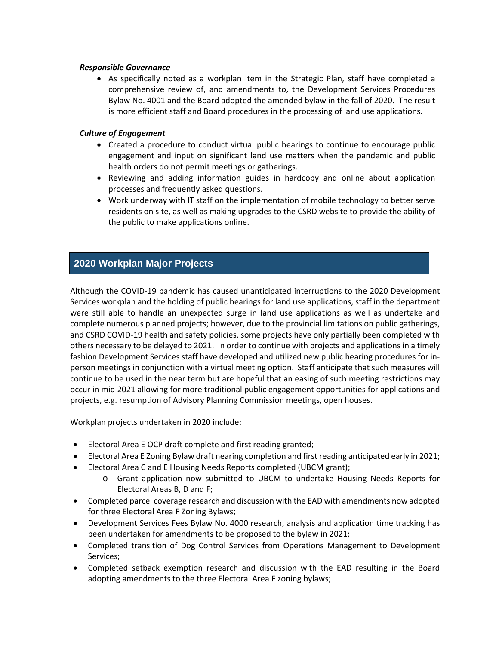#### *Responsible Governance*

 As specifically noted as a workplan item in the Strategic Plan, staff have completed a comprehensive review of, and amendments to, the Development Services Procedures Bylaw No. 4001 and the Board adopted the amended bylaw in the fall of 2020. The result is more efficient staff and Board procedures in the processing of land use applications.

#### *Culture of Engagement*

- Created a procedure to conduct virtual public hearings to continue to encourage public engagement and input on significant land use matters when the pandemic and public health orders do not permit meetings or gatherings.
- Reviewing and adding information guides in hardcopy and online about application processes and frequently asked questions.
- Work underway with IT staff on the implementation of mobile technology to better serve residents on site, as well as making upgrades to the CSRD website to provide the ability of the public to make applications online.

## **2020 Workplan Major Projects**

Although the COVID‐19 pandemic has caused unanticipated interruptions to the 2020 Development Services workplan and the holding of public hearings for land use applications, staff in the department were still able to handle an unexpected surge in land use applications as well as undertake and complete numerous planned projects; however, due to the provincial limitations on public gatherings, and CSRD COVID‐19 health and safety policies, some projects have only partially been completed with others necessary to be delayed to 2021. In order to continue with projects and applications in a timely fashion Development Services staff have developed and utilized new public hearing procedures for in‐ person meetings in conjunction with a virtual meeting option. Staff anticipate that such measures will continue to be used in the near term but are hopeful that an easing of such meeting restrictions may occur in mid 2021 allowing for more traditional public engagement opportunities for applications and projects, e.g. resumption of Advisory Planning Commission meetings, open houses.

Workplan projects undertaken in 2020 include:

- Electoral Area E OCP draft complete and first reading granted;
- Electoral Area E Zoning Bylaw draft nearing completion and first reading anticipated early in 2021;
- Electoral Area C and E Housing Needs Reports completed (UBCM grant);
	- o Grant application now submitted to UBCM to undertake Housing Needs Reports for Electoral Areas B, D and F;
- Completed parcel coverage research and discussion with the EAD with amendments now adopted for three Electoral Area F Zoning Bylaws;
- Development Services Fees Bylaw No. 4000 research, analysis and application time tracking has been undertaken for amendments to be proposed to the bylaw in 2021;
- Completed transition of Dog Control Services from Operations Management to Development Services;
- Completed setback exemption research and discussion with the EAD resulting in the Board adopting amendments to the three Electoral Area F zoning bylaws;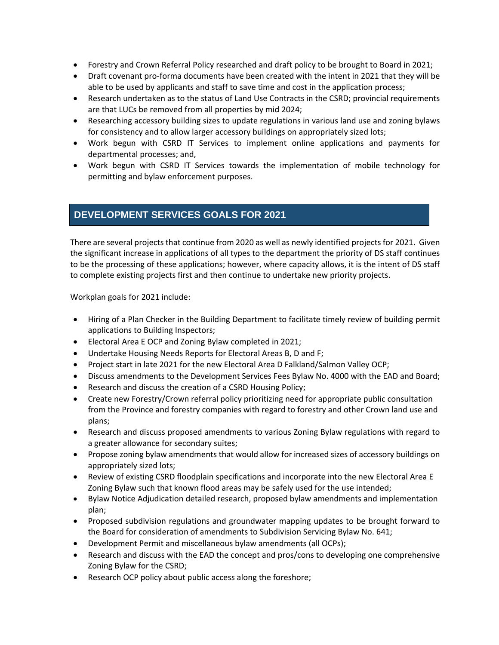- Forestry and Crown Referral Policy researched and draft policy to be brought to Board in 2021;
- Draft covenant pro-forma documents have been created with the intent in 2021 that they will be able to be used by applicants and staff to save time and cost in the application process;
- Research undertaken as to the status of Land Use Contracts in the CSRD; provincial requirements are that LUCs be removed from all properties by mid 2024;
- Researching accessory building sizes to update regulations in various land use and zoning bylaws for consistency and to allow larger accessory buildings on appropriately sized lots;
- Work begun with CSRD IT Services to implement online applications and payments for departmental processes; and,
- Work begun with CSRD IT Services towards the implementation of mobile technology for permitting and bylaw enforcement purposes.

## **DEVELOPMENT SERVICES GOALS FOR 2021**

There are several projects that continue from 2020 as well as newly identified projects for 2021. Given the significant increase in applications of all types to the department the priority of DS staff continues to be the processing of these applications; however, where capacity allows, it is the intent of DS staff to complete existing projects first and then continue to undertake new priority projects.

Workplan goals for 2021 include:

- Hiring of a Plan Checker in the Building Department to facilitate timely review of building permit applications to Building Inspectors;
- Electoral Area E OCP and Zoning Bylaw completed in 2021;
- Undertake Housing Needs Reports for Electoral Areas B, D and F;
- Project start in late 2021 for the new Electoral Area D Falkland/Salmon Valley OCP;
- Discuss amendments to the Development Services Fees Bylaw No. 4000 with the EAD and Board;
- Research and discuss the creation of a CSRD Housing Policy;
- Create new Forestry/Crown referral policy prioritizing need for appropriate public consultation from the Province and forestry companies with regard to forestry and other Crown land use and plans;
- Research and discuss proposed amendments to various Zoning Bylaw regulations with regard to a greater allowance for secondary suites;
- Propose zoning bylaw amendments that would allow for increased sizes of accessory buildings on appropriately sized lots;
- Review of existing CSRD floodplain specifications and incorporate into the new Electoral Area E Zoning Bylaw such that known flood areas may be safely used for the use intended;
- Bylaw Notice Adjudication detailed research, proposed bylaw amendments and implementation plan;
- Proposed subdivision regulations and groundwater mapping updates to be brought forward to the Board for consideration of amendments to Subdivision Servicing Bylaw No. 641;
- Development Permit and miscellaneous bylaw amendments (all OCPs);
- Research and discuss with the EAD the concept and pros/cons to developing one comprehensive Zoning Bylaw for the CSRD;
- Research OCP policy about public access along the foreshore;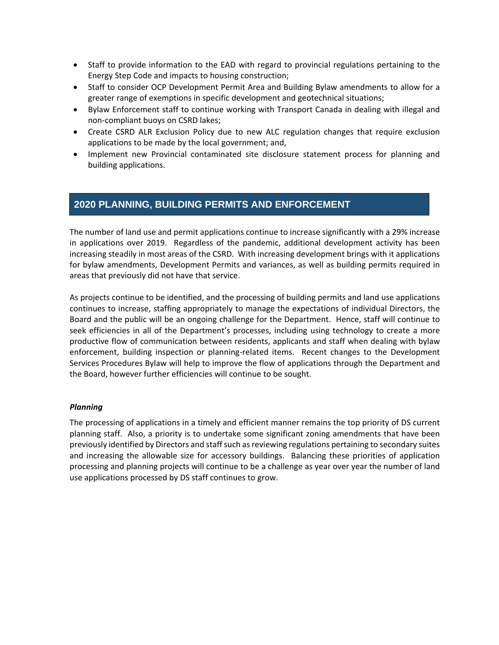- Staff to provide information to the EAD with regard to provincial regulations pertaining to the Energy Step Code and impacts to housing construction;
- Staff to consider OCP Development Permit Area and Building Bylaw amendments to allow for a greater range of exemptions in specific development and geotechnical situations;
- Bylaw Enforcement staff to continue working with Transport Canada in dealing with illegal and non‐compliant buoys on CSRD lakes;
- Create CSRD ALR Exclusion Policy due to new ALC regulation changes that require exclusion applications to be made by the local government; and,
- Implement new Provincial contaminated site disclosure statement process for planning and building applications.

## **2020 PLANNING, BUILDING PERMITS AND ENFORCEMENT**

The number of land use and permit applications continue to increase significantly with a 29% increase in applications over 2019. Regardless of the pandemic, additional development activity has been increasing steadily in most areas of the CSRD. With increasing development brings with it applications for bylaw amendments, Development Permits and variances, as well as building permits required in areas that previously did not have that service.

As projects continue to be identified, and the processing of building permits and land use applications continues to increase, staffing appropriately to manage the expectations of individual Directors, the Board and the public will be an ongoing challenge for the Department. Hence, staff will continue to seek efficiencies in all of the Department's processes, including using technology to create a more productive flow of communication between residents, applicants and staff when dealing with bylaw enforcement, building inspection or planning-related items. Recent changes to the Development Services Procedures Bylaw will help to improve the flow of applications through the Department and the Board, however further efficiencies will continue to be sought.

#### *Planning*

The processing of applications in a timely and efficient manner remains the top priority of DS current planning staff. Also, a priority is to undertake some significant zoning amendments that have been previously identified by Directors and staffsuch asreviewing regulations pertaining to secondary suites and increasing the allowable size for accessory buildings. Balancing these priorities of application processing and planning projects will continue to be a challenge as year over year the number of land use applications processed by DS staff continues to grow.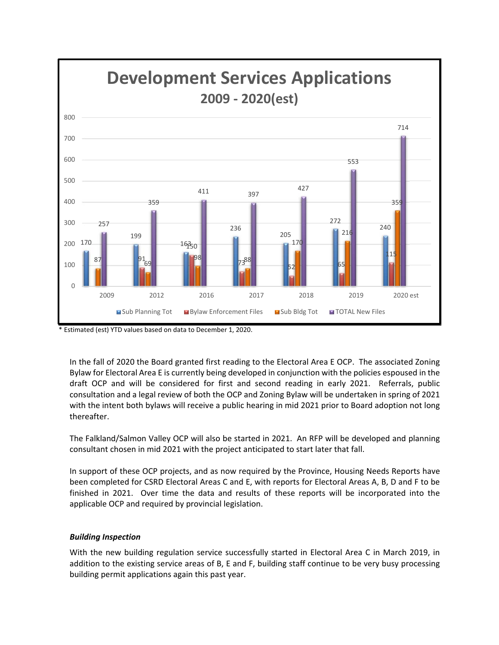

\* Estimated (est) YTD values based on data to December 1, 2020.

In the fall of 2020 the Board granted first reading to the Electoral Area E OCP. The associated Zoning Bylaw for Electoral Area E is currently being developed in conjunction with the policies espoused in the draft OCP and will be considered for first and second reading in early 2021. Referrals, public consultation and a legal review of both the OCP and Zoning Bylaw will be undertaken in spring of 2021 with the intent both bylaws will receive a public hearing in mid 2021 prior to Board adoption not long thereafter.

The Falkland/Salmon Valley OCP will also be started in 2021. An RFP will be developed and planning consultant chosen in mid 2021 with the project anticipated to start later that fall.

In support of these OCP projects, and as now required by the Province, Housing Needs Reports have been completed for CSRD Electoral Areas C and E, with reports for Electoral Areas A, B, D and F to be finished in 2021. Over time the data and results of these reports will be incorporated into the applicable OCP and required by provincial legislation.

#### *Building Inspection*

With the new building regulation service successfully started in Electoral Area C in March 2019, in addition to the existing service areas of B, E and F, building staff continue to be very busy processing building permit applications again this past year.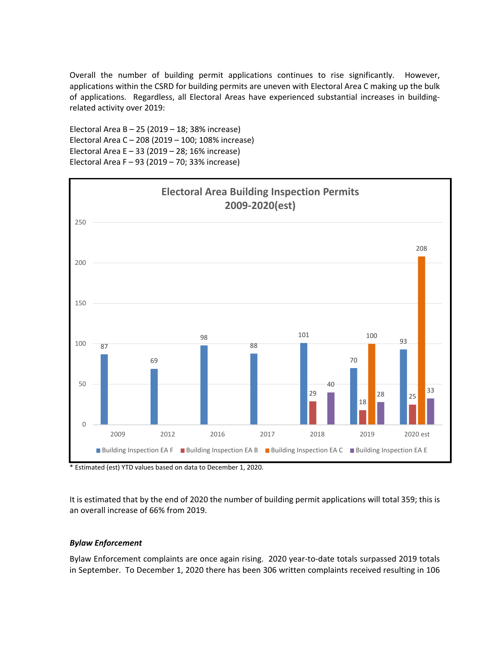Overall the number of building permit applications continues to rise significantly. However, applications within the CSRD for building permits are uneven with Electoral Area C making up the bulk of applications. Regardless, all Electoral Areas have experienced substantial increases in building‐ related activity over 2019:

Electoral Area B – 25 (2019 – 18; 38% increase) Electoral Area C – 208 (2019 – 100; 108% increase) Electoral Area E – 33 (2019 – 28; 16% increase) Electoral Area F – 93 (2019 – 70; 33% increase)



\* Estimated (est) YTD values based on data to December 1, 2020.

It is estimated that by the end of 2020 the number of building permit applications will total 359; this is an overall increase of 66% from 2019.

#### *Bylaw Enforcement*

Bylaw Enforcement complaints are once again rising. 2020 year‐to‐date totals surpassed 2019 totals in September. To December 1, 2020 there has been 306 written complaints received resulting in 106